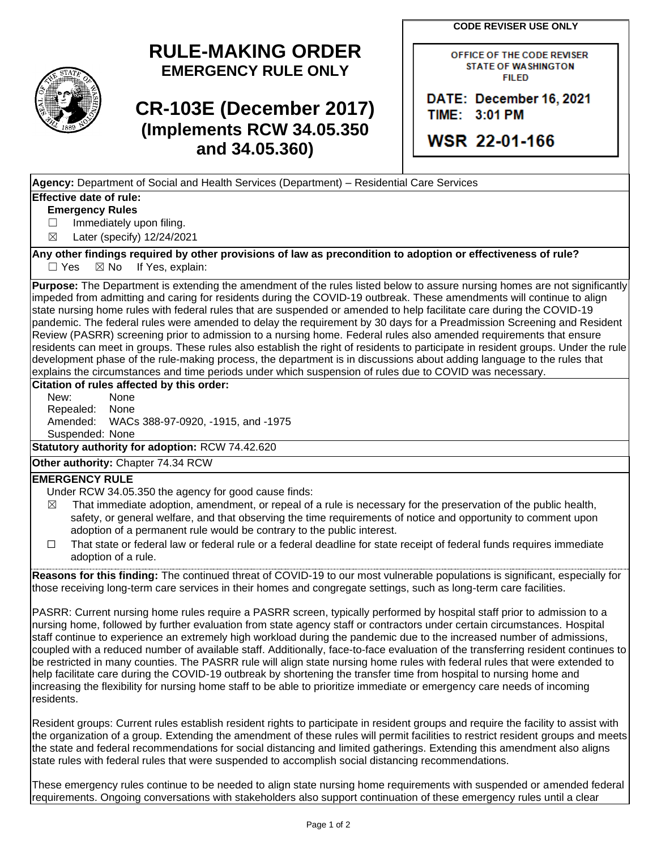**CODE REVISER USE ONLY**

# **RULE-MAKING ORDER EMERGENCY RULE ONLY**

# **CR-103E (December 2017) (Implements RCW 34.05.350 and 34.05.360)**

| <b>OFFICE OF THE CODE REVISER</b> |
|-----------------------------------|
| <b>STATE OF WASHINGTON</b>        |
| <b>FILED</b>                      |

DATE: December 16, 2021 TIME: 3:01 PM

WSR 22-01-166

**Agency:** Department of Social and Health Services (Department) – Residential Care Services

## **Effective date of rule:**

### **Emergency Rules**

□ Immediately upon filing.

☒ Later (specify) 12/24/2021

**Any other findings required by other provisions of law as precondition to adoption or effectiveness of rule?**  $\Box$  Yes  $\boxtimes$  No If Yes, explain:

**Purpose:** The Department is extending the amendment of the rules listed below to assure nursing homes are not significantly impeded from admitting and caring for residents during the COVID-19 outbreak. These amendments will continue to align state nursing home rules with federal rules that are suspended or amended to help facilitate care during the COVID-19 pandemic. The federal rules were amended to delay the requirement by 30 days for a Preadmission Screening and Resident Review (PASRR) screening prior to admission to a nursing home. Federal rules also amended requirements that ensure residents can meet in groups. These rules also establish the right of residents to participate in resident groups. Under the rule development phase of the rule-making process, the department is in discussions about adding language to the rules that explains the circumstances and time periods under which suspension of rules due to COVID was necessary.

#### **Citation of rules affected by this order:**

New: None Repealed: None Amended: WACs 388-97-0920, -1915, and -1975 Suspended: None

**Statutory authority for adoption:** RCW 74.42.620

**Other authority:** Chapter 74.34 RCW

### **EMERGENCY RULE**

- Under RCW 34.05.350 the agency for good cause finds:
- $\boxtimes$  That immediate adoption, amendment, or repeal of a rule is necessary for the preservation of the public health, safety, or general welfare, and that observing the time requirements of notice and opportunity to comment upon adoption of a permanent rule would be contrary to the public interest.
- ☐ That state or federal law or federal rule or a federal deadline for state receipt of federal funds requires immediate adoption of a rule.

**Reasons for this finding:** The continued threat of COVID-19 to our most vulnerable populations is significant, especially for those receiving long-term care services in their homes and congregate settings, such as long-term care facilities.

PASRR: Current nursing home rules require a PASRR screen, typically performed by hospital staff prior to admission to a nursing home, followed by further evaluation from state agency staff or contractors under certain circumstances. Hospital staff continue to experience an extremely high workload during the pandemic due to the increased number of admissions, coupled with a reduced number of available staff. Additionally, face-to-face evaluation of the transferring resident continues to be restricted in many counties. The PASRR rule will align state nursing home rules with federal rules that were extended to help facilitate care during the COVID-19 outbreak by shortening the transfer time from hospital to nursing home and increasing the flexibility for nursing home staff to be able to prioritize immediate or emergency care needs of incoming residents.

Resident groups: Current rules establish resident rights to participate in resident groups and require the facility to assist with the organization of a group. Extending the amendment of these rules will permit facilities to restrict resident groups and meets the state and federal recommendations for social distancing and limited gatherings. Extending this amendment also aligns state rules with federal rules that were suspended to accomplish social distancing recommendations.

These emergency rules continue to be needed to align state nursing home requirements with suspended or amended federal requirements. Ongoing conversations with stakeholders also support continuation of these emergency rules until a clear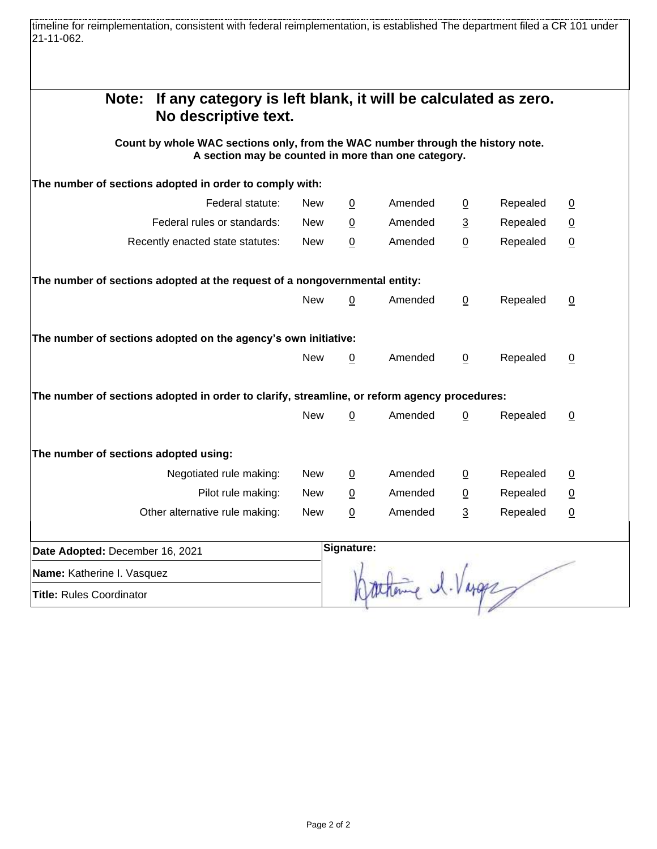timeline for reimplementation, consistent with federal reimplementation, is established The department filed a CR 101 under 21-11-062.

| If any category is left blank, it will be calculated as zero.<br>Note:                                                                                         |            |                |         |                |          |                 |
|----------------------------------------------------------------------------------------------------------------------------------------------------------------|------------|----------------|---------|----------------|----------|-----------------|
| No descriptive text.<br>Count by whole WAC sections only, from the WAC number through the history note.<br>A section may be counted in more than one category. |            |                |         |                |          |                 |
| The number of sections adopted in order to comply with:                                                                                                        |            |                |         |                |          |                 |
| Federal statute:                                                                                                                                               | <b>New</b> | $\overline{0}$ | Amended | $\overline{0}$ | Repealed | $\overline{0}$  |
| Federal rules or standards:                                                                                                                                    | <b>New</b> | 0              | Amended | 3              | Repealed | $\underline{0}$ |
| Recently enacted state statutes:                                                                                                                               | <b>New</b> | $\mathsf 0$    | Amended | 0              | Repealed | $\underline{0}$ |
| The number of sections adopted at the request of a nongovernmental entity:                                                                                     |            |                |         |                |          |                 |
|                                                                                                                                                                | <b>New</b> | 0              | Amended | $\overline{0}$ | Repealed | 0               |
| The number of sections adopted on the agency's own initiative:                                                                                                 |            |                |         |                |          |                 |
|                                                                                                                                                                | <b>New</b> | 0              | Amended | $\mathbf{0}$   | Repealed | 0               |
| The number of sections adopted in order to clarify, streamline, or reform agency procedures:                                                                   |            |                |         |                |          |                 |
|                                                                                                                                                                | <b>New</b> | 0              | Amended | 0              | Repealed | $\mathbf 0$     |
| The number of sections adopted using:                                                                                                                          |            |                |         |                |          |                 |
| Negotiated rule making:                                                                                                                                        | <b>New</b> | $\overline{0}$ | Amended | 0              | Repealed | $\overline{0}$  |
| Pilot rule making:                                                                                                                                             | <b>New</b> | 0              | Amended | 0              | Repealed | $\underline{0}$ |
| Other alternative rule making:                                                                                                                                 | <b>New</b> | $\mathsf 0$    | Amended | 3              | Repealed | $\underline{0}$ |
| Date Adopted: December 16, 2021                                                                                                                                |            | Signature:     |         |                |          |                 |
| Name: Katherine I. Vasquez                                                                                                                                     |            |                |         |                |          |                 |
| <b>Title: Rules Coordinator</b>                                                                                                                                |            |                |         |                |          |                 |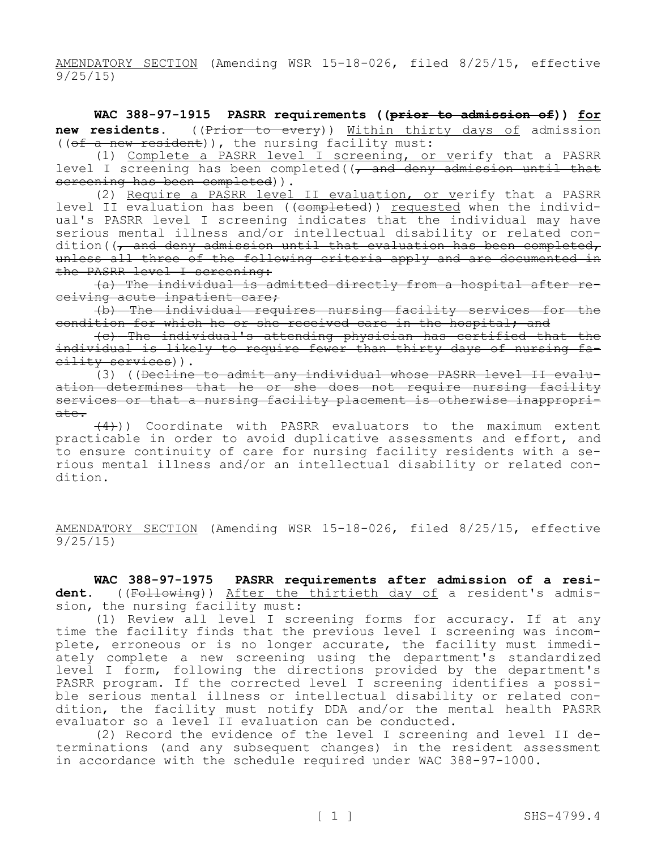AMENDATORY SECTION (Amending WSR 15-18-026, filed 8/25/15, effective 9/25/15)

**WAC 388-97-1915 PASRR requirements ((prior to admission of)) for**  new residents. ((Prior to every)) Within thirty days of admission ((of a new resident)), the nursing facility must:

(1) Complete a PASRR level I screening, or verify that a PASRR level I screening has been completed( $\sqrt{\frac{a}{m}}$  deny admission until that screening has been completed)).

(2) Require a PASRR level II evaluation, or verify that a PASRR level II evaluation has been ((completed)) requested when the individual's PASRR level I screening indicates that the individual may have serious mental illness and/or intellectual disability or related condition((, and deny admission until that evaluation has been completed, unless all three of the following criteria apply and are documented in the PASRR level I screening:

(a) The individual is admitted directly from a hospital after receiving acute inpatient care;

(b) The individual requires nursing facility services for the condition for which he or she received care in the hospital; and

(c) The individual's attending physician has certified that the individual is likely to require fewer than thirty days of nursing facility services)).

(3) ((Decline to admit any individual whose PASRR level II evaluation determines that he or she does not require nursing facility services or that a nursing facility placement is otherwise inappropriate.

(4))) Coordinate with PASRR evaluators to the maximum extent practicable in order to avoid duplicative assessments and effort, and to ensure continuity of care for nursing facility residents with a serious mental illness and/or an intellectual disability or related condition.

AMENDATORY SECTION (Amending WSR 15-18-026, filed 8/25/15, effective 9/25/15)

**WAC 388-97-1975 PASRR requirements after admission of a resi**dent. ((Following)) After the thirtieth day of a resident's admission, the nursing facility must:

(1) Review all level I screening forms for accuracy. If at any time the facility finds that the previous level I screening was incomplete, erroneous or is no longer accurate, the facility must immediately complete a new screening using the department's standardized level I form, following the directions provided by the department's PASRR program. If the corrected level I screening identifies a possible serious mental illness or intellectual disability or related condition, the facility must notify DDA and/or the mental health PASRR evaluator so a level II evaluation can be conducted.

(2) Record the evidence of the level I screening and level II determinations (and any subsequent changes) in the resident assessment in accordance with the schedule required under WAC 388-97-1000.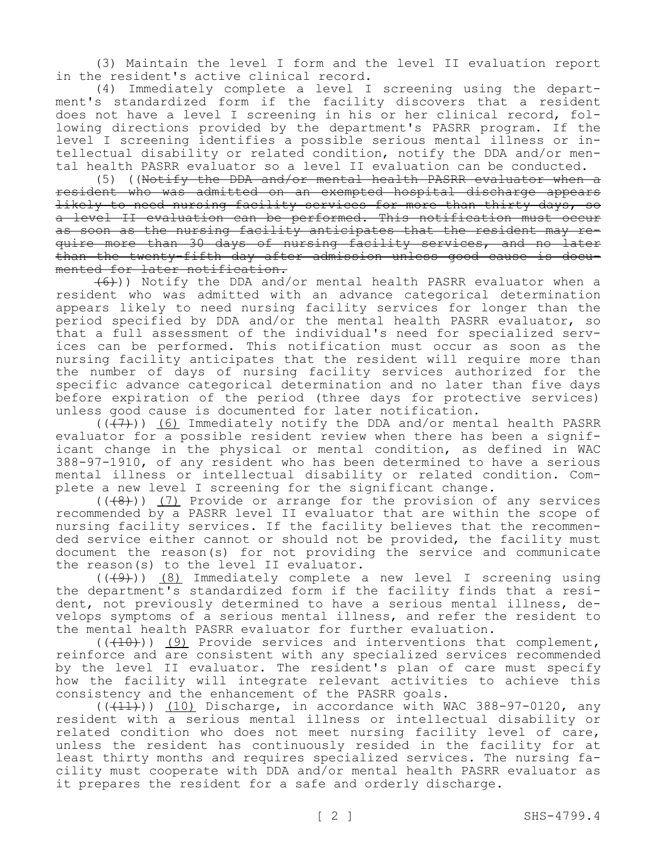(3) Maintain the level I form and the level II evaluation report in the resident's active clinical record.

(4) Immediately complete a level I screening using the department's standardized form if the facility discovers that a resident does not have a level I screening in his or her clinical record, following directions provided by the department's PASRR program. If the level I screening identifies a possible serious mental illness or intellectual disability or related condition, notify the DDA and/or mental health PASRR evaluator so a level II evaluation can be conducted.

(5) ((Notify the DDA and/or mental health PASRR evaluator when a resident who was admitted on an exempted hospital discharge appears likely to need nursing facility services for more than thirty days, so a level II evaluation can be performed. This notification must occur as soon as the nursing facility anticipates that the resident may require more than 30 days of nursing facility services, and no later than the twenty-fifth day after admission unless good cause is documented for later notification.

 $(6)$ )) Notify the DDA and/or mental health PASRR evaluator when a resident who was admitted with an advance categorical determination appears likely to need nursing facility services for longer than the period specified by DDA and/or the mental health PASRR evaluator, so that a full assessment of the individual's need for specialized services can be performed. This notification must occur as soon as the nursing facility anticipates that the resident will require more than the number of days of nursing facility services authorized for the specific advance categorical determination and no later than five days before expiration of the period (three days for protective services) unless good cause is documented for later notification.

 $((+7))$  (6) Immediately notify the DDA and/or mental health PASRR evaluator for a possible resident review when there has been a significant change in the physical or mental condition, as defined in WAC 388-97-1910, of any resident who has been determined to have a serious mental illness or intellectual disability or related condition. Complete a new level I screening for the significant change.

 $((+8))$  (7) Provide or arrange for the provision of any services recommended by a PASRR level II evaluator that are within the scope of nursing facility services. If the facility believes that the recommended service either cannot or should not be provided, the facility must document the reason(s) for not providing the service and communicate the reason(s) to the level II evaluator.

 $((+9))$  (8) Immediately complete a new level I screening using the department's standardized form if the facility finds that a resident, not previously determined to have a serious mental illness, develops symptoms of a serious mental illness, and refer the resident to the mental health PASRR evaluator for further evaluation.

 $((+10))$  (9) Provide services and interventions that complement, reinforce and are consistent with any specialized services recommended by the level II evaluator. The resident's plan of care must specify how the facility will integrate relevant activities to achieve this consistency and the enhancement of the PASRR goals.

 $((+11))$  (10) Discharge, in accordance with WAC 388-97-0120, any resident with a serious mental illness or intellectual disability or related condition who does not meet nursing facility level of care, unless the resident has continuously resided in the facility for at least thirty months and requires specialized services. The nursing facility must cooperate with DDA and/or mental health PASRR evaluator as it prepares the resident for a safe and orderly discharge.